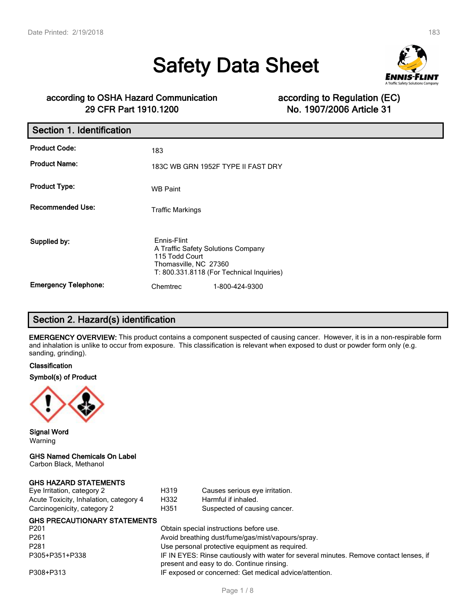# **Safety Data Sheet**



# **according to OSHA Hazard Communication according to Regulation (EC) 29 CFR Part 1910.1200 No. 1907/2006 Article 31**

| Section 1. Identification   |                                                                                              |                                           |
|-----------------------------|----------------------------------------------------------------------------------------------|-------------------------------------------|
| <b>Product Code:</b>        | 183                                                                                          |                                           |
| <b>Product Name:</b>        |                                                                                              | 183C WB GRN 1952F TYPE II FAST DRY        |
| <b>Product Type:</b>        | <b>WB Paint</b>                                                                              |                                           |
| <b>Recommended Use:</b>     | <b>Traffic Markings</b>                                                                      |                                           |
| Supplied by:                | Ennis-Flint<br>A Traffic Safety Solutions Company<br>115 Todd Court<br>Thomasville, NC 27360 | T: 800.331.8118 (For Technical Inquiries) |
| <b>Emergency Telephone:</b> | Chemtrec                                                                                     | 1-800-424-9300                            |

# **Section 2. Hazard(s) identification**

**EMERGENCY OVERVIEW:** This product contains a component suspected of causing cancer. However, it is in a non-respirable form and inhalation is unlike to occur from exposure. This classification is relevant when exposed to dust or powder form only (e.g. sanding, grinding).

# **Classification**

# **Symbol(s) of Product**



**Signal Word** Warning

# **GHS Named Chemicals On Label**

Carbon Black, Methanol

# **GHS HAZARD STATEMENTS**

| Eye Irritation, category 2             | H <sub>3</sub> 19 |
|----------------------------------------|-------------------|
| Acute Toxicity, Inhalation, category 4 | H332              |
| Carcinogenicity, category 2            | H351              |

# **GHS PRECAUTIONARY STATEMENTS**

Obtain special instructions before use. Avoid breathing dust/fume/gas/mist/vapours/spray. Use personal protective equipment as required. IF IN EYES: Rinse cautiously with water for several minutes. Remove contact lenses, if present and easy to do. Continue rinsing. P308+P313 IF exposed or concerned: Get medical advice/attention.

Causes serious eye irritation.

Suspected of causing cancer.

Harmful if inhaled.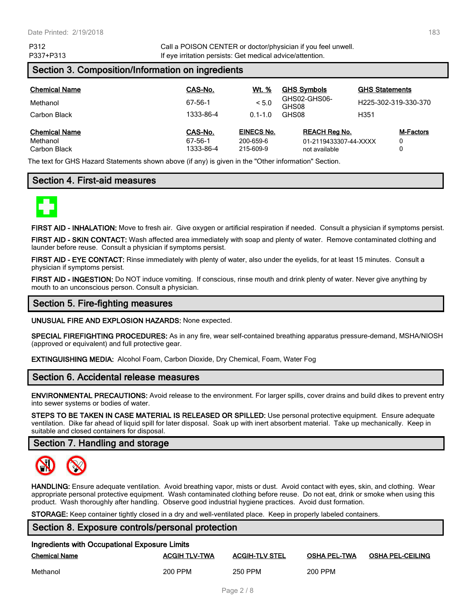P312 Call a POISON CENTER or doctor/physician if you feel unwell. P337+P313 **If eye irritation persists: Get medical advice/attention.** 

# **Section 3. Composition/Information on ingredients**

| <b>Chemical Name</b>                             | CAS-No.                         | Wt. %                                | <b>GHS Symbols</b>                                             | <b>GHS Statements</b>      |
|--------------------------------------------------|---------------------------------|--------------------------------------|----------------------------------------------------------------|----------------------------|
| Methanol                                         | 67-56-1                         | < 5.0                                | GHS02-GHS06-<br>GHS08                                          | H225-302-319-330-370       |
| Carbon Black                                     | 1333-86-4                       | $0.1 - 1.0$                          | GHS08                                                          | H351                       |
| <b>Chemical Name</b><br>Methanol<br>Carbon Black | CAS-No.<br>67-56-1<br>1333-86-4 | EINECS No.<br>200-659-6<br>215-609-9 | <b>REACH Reg No.</b><br>01-2119433307-44-XXXX<br>not available | <b>M-Factors</b><br>0<br>0 |

The text for GHS Hazard Statements shown above (if any) is given in the "Other information" Section.

# **Section 4. First-aid measures**



**FIRST AID - INHALATION:** Move to fresh air. Give oxygen or artificial respiration if needed. Consult a physician if symptoms persist.

**FIRST AID - SKIN CONTACT:** Wash affected area immediately with soap and plenty of water. Remove contaminated clothing and launder before reuse. Consult a physician if symptoms persist.

**FIRST AID - EYE CONTACT:** Rinse immediately with plenty of water, also under the eyelids, for at least 15 minutes. Consult a physician if symptoms persist.

**FIRST AID - INGESTION:** Do NOT induce vomiting. If conscious, rinse mouth and drink plenty of water. Never give anything by mouth to an unconscious person. Consult a physician.

# **Section 5. Fire-fighting measures**

**UNUSUAL FIRE AND EXPLOSION HAZARDS:** None expected.

**SPECIAL FIREFIGHTING PROCEDURES:** As in any fire, wear self-contained breathing apparatus pressure-demand, MSHA/NIOSH (approved or equivalent) and full protective gear.

**EXTINGUISHING MEDIA:** Alcohol Foam, Carbon Dioxide, Dry Chemical, Foam, Water Fog

# **Section 6. Accidental release measures**

**ENVIRONMENTAL PRECAUTIONS:** Avoid release to the environment. For larger spills, cover drains and build dikes to prevent entry into sewer systems or bodies of water.

**STEPS TO BE TAKEN IN CASE MATERIAL IS RELEASED OR SPILLED:** Use personal protective equipment. Ensure adequate ventilation. Dike far ahead of liquid spill for later disposal. Soak up with inert absorbent material. Take up mechanically. Keep in suitable and closed containers for disposal.

# **Section 7. Handling and storage**



**HANDLING:** Ensure adequate ventilation. Avoid breathing vapor, mists or dust. Avoid contact with eyes, skin, and clothing. Wear appropriate personal protective equipment. Wash contaminated clothing before reuse. Do not eat, drink or smoke when using this product. Wash thoroughly after handling. Observe good industrial hygiene practices. Avoid dust formation.

**STORAGE:** Keep container tightly closed in a dry and well-ventilated place. Keep in properly labeled containers.

# **Section 8. Exposure controls/personal protection**

| Ingredients with Occupational Exposure Limits |                      |                       |                     |                         |  |
|-----------------------------------------------|----------------------|-----------------------|---------------------|-------------------------|--|
| <b>Chemical Name</b>                          | <b>ACGIH TLV-TWA</b> | <b>ACGIH-TLV STEL</b> | <b>OSHA PEL-TWA</b> | <b>OSHA PEL-CEILING</b> |  |
| Methanol                                      | 200 PPM              | 250 PPM               | 200 PPM             |                         |  |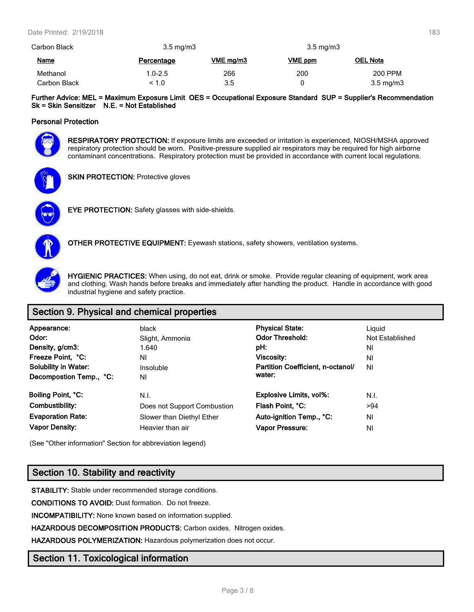| Carbon Black | $3.5 \text{ mg/m}$ |           | $3.5 \text{ mg/m}$ |                    |
|--------------|--------------------|-----------|--------------------|--------------------|
| <b>Name</b>  | Percentage         | VME mg/m3 | VME ppm            | <b>OEL Nota</b>    |
| Methanol     | $1.0 - 2.5$        | 266       | 200                | 200 PPM            |
| Carbon Black | < 1.0              | 3.5       |                    | $3.5 \text{ mg/m}$ |

**Further Advice: MEL = Maximum Exposure Limit OES = Occupational Exposure Standard SUP = Supplier's Recommendation Sk = Skin Sensitizer N.E. = Not Established**

# **Personal Protection**



**RESPIRATORY PROTECTION:** If exposure limits are exceeded or irritation is experienced, NIOSH/MSHA approved respiratory protection should be worn. Positive-pressure supplied air respirators may be required for high airborne contaminant concentrations. Respiratory protection must be provided in accordance with current local regulations.



**SKIN PROTECTION: Protective gloves** 



**EYE PROTECTION:** Safety glasses with side-shields.



**OTHER PROTECTIVE EQUIPMENT:** Eyewash stations, safety showers, ventilation systems.



**HYGIENIC PRACTICES:** When using, do not eat, drink or smoke. Provide regular cleaning of equipment, work area and clothing. Wash hands before breaks and immediately after handling the product. Handle in accordance with good industrial hygiene and safety practice.

# **Section 9. Physical and chemical properties**

| Appearance:<br>Odor:<br>Density, g/cm3:<br>Freeze Point, °C:<br><b>Solubility in Water:</b><br>Decompostion Temp., °C: | black<br>Slight, Ammonia<br>1.640<br>ΝI<br>Insoluble<br>ΝI | <b>Physical State:</b><br><b>Odor Threshold:</b><br>pH:<br>Viscosity:<br>Partition Coefficient, n-octanol/<br>water: | Liguid<br>Not Established<br>NI<br>ΝI<br>NI |
|------------------------------------------------------------------------------------------------------------------------|------------------------------------------------------------|----------------------------------------------------------------------------------------------------------------------|---------------------------------------------|
| Boiling Point, °C:                                                                                                     | N.I.                                                       | <b>Explosive Limits, vol%:</b>                                                                                       | N.I.                                        |
| Combustibility:                                                                                                        | Does not Support Combustion                                | Flash Point, °C:                                                                                                     | >94                                         |
| <b>Evaporation Rate:</b>                                                                                               | Slower than Diethyl Ether                                  | Auto-ignition Temp., °C:                                                                                             | ΝI                                          |
| <b>Vapor Density:</b>                                                                                                  | Heavier than air                                           | Vapor Pressure:                                                                                                      | NI                                          |

(See "Other information" Section for abbreviation legend)

# **Section 10. Stability and reactivity**

**STABILITY:** Stable under recommended storage conditions.

**CONDITIONS TO AVOID:** Dust formation. Do not freeze.

**INCOMPATIBILITY:** None known based on information supplied.

**HAZARDOUS DECOMPOSITION PRODUCTS:** Carbon oxides. Nitrogen oxides.

**HAZARDOUS POLYMERIZATION:** Hazardous polymerization does not occur.

# **Section 11. Toxicological information**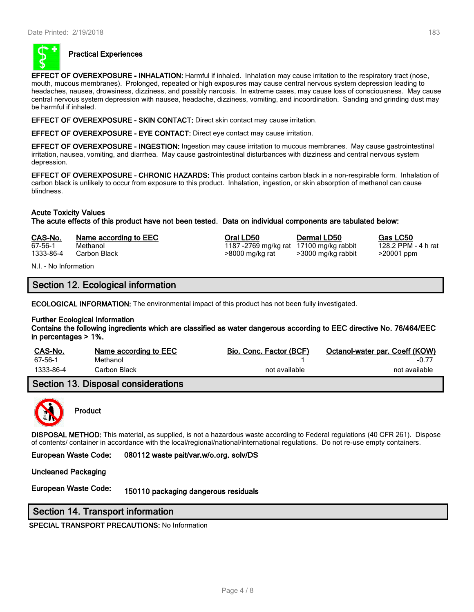

# **Practical Experiences**

**EFFECT OF OVEREXPOSURE - INHALATION:** Harmful if inhaled. Inhalation may cause irritation to the respiratory tract (nose, mouth, mucous membranes). Prolonged, repeated or high exposures may cause central nervous system depression leading to headaches, nausea, drowsiness, dizziness, and possibly narcosis. In extreme cases, may cause loss of consciousness. May cause central nervous system depression with nausea, headache, dizziness, vomiting, and incoordination. Sanding and grinding dust may be harmful if inhaled.

**EFFECT OF OVEREXPOSURE - SKIN CONTACT:** Direct skin contact may cause irritation.

**EFFECT OF OVEREXPOSURE - EYE CONTACT:** Direct eye contact may cause irritation.

**EFFECT OF OVEREXPOSURE - INGESTION:** Ingestion may cause irritation to mucous membranes. May cause gastrointestinal irritation, nausea, vomiting, and diarrhea. May cause gastrointestinal disturbances with dizziness and central nervous system depression.

**EFFECT OF OVEREXPOSURE - CHRONIC HAZARDS:** This product contains carbon black in a non-respirable form. Inhalation of carbon black is unlikely to occur from exposure to this product. Inhalation, ingestion, or skin absorption of methanol can cause blindness.

# **Acute Toxicity Values**

**The acute effects of this product have not been tested. Data on individual components are tabulated below:**

| CAS-No.   | Name according to EEC | Oral LD50        |
|-----------|-----------------------|------------------|
| 67-56-1   | Methanol              | 1187 -2769 mg/kg |
| 1333-86-4 | Carbon Black          | >8000 mg/kg rat  |

N.I. - No Information

# **Section 12. Ecological information**

**ECOLOGICAL INFORMATION:** The environmental impact of this product has not been fully investigated.

# **Further Ecological Information**

**Contains the following ingredients which are classified as water dangerous according to EEC directive No. 76/464/EEC in percentages > 1%.**

| CAS-No.   | Name according to EEC | Bio, Conc. Factor (BCF) | Octanol-water par. Coeff (KOW) |
|-----------|-----------------------|-------------------------|--------------------------------|
| 67-56-1   | Methanol              |                         | $-0.7^{-}$                     |
| 1333-86-4 | Carbon Black          | not available           | not available                  |

# **Section 13. Disposal considerations**



# **Product**

**DISPOSAL METHOD:** This material, as supplied, is not a hazardous waste according to Federal regulations (40 CFR 261). Dispose of contents/ container in accordance with the local/regional/national/international regulations. Do not re-use empty containers.

**European Waste Code: 080112 waste pait/var.w/o.org. solv/DS**

#### **Uncleaned Packaging**

**European Waste Code: 150110 packaging dangerous residuals**

# **Section 14. Transport information**

**SPECIAL TRANSPORT PRECAUTIONS:** No Information

**Cas LC50 Cas LC50**<br>17100 mg/kg rabbit 128.2 PPM - 4 h rat

rat 17100 mg/kg rabbit  $\frac{128.2 \text{ PPM}}{128.2 \text{ PPM}}$  -  $\frac{128.2 \text{ PPM}}{128.2 \text{ PPM}}$ 

>3000 mg/kg rabbit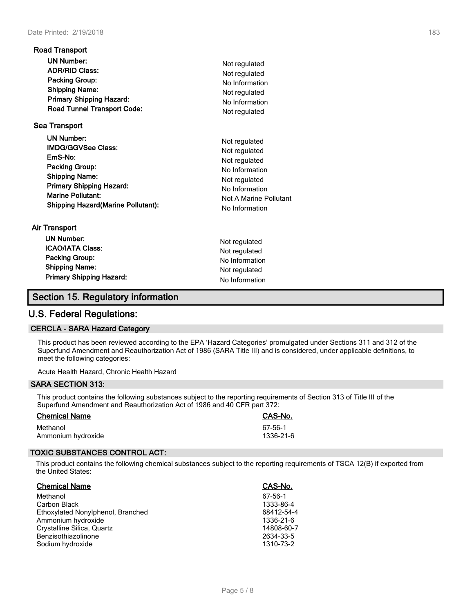| <b>Road Transport</b>                                                                                                                                                                                             |                                                                                                                                                  |
|-------------------------------------------------------------------------------------------------------------------------------------------------------------------------------------------------------------------|--------------------------------------------------------------------------------------------------------------------------------------------------|
| <b>UN Number:</b><br><b>ADR/RID Class:</b><br>Packing Group:<br><b>Shipping Name:</b><br><b>Primary Shipping Hazard:</b><br><b>Road Tunnel Transport Code:</b>                                                    | Not regulated<br>Not regulated<br>No Information<br>Not regulated<br>No Information<br>Not regulated                                             |
| <b>Sea Transport</b>                                                                                                                                                                                              |                                                                                                                                                  |
| <b>UN Number:</b><br><b>IMDG/GGVSee Class:</b><br>EmS-No:<br>Packing Group:<br><b>Shipping Name:</b><br><b>Primary Shipping Hazard:</b><br><b>Marine Pollutant:</b><br><b>Shipping Hazard (Marine Pollutant):</b> | Not regulated<br>Not regulated<br>Not regulated<br>No Information<br>Not regulated<br>No Information<br>Not A Marine Pollutant<br>No Information |
| Air Transport<br><b>UN Number:</b><br><b>ICAO/IATA Class:</b><br><b>Packing Group:</b>                                                                                                                            | Not regulated<br>Not regulated<br>No Information                                                                                                 |

| <b>Primary Shipping Hazard:</b>    | .<br>No Information |
|------------------------------------|---------------------|
| Section 15. Regulatory information |                     |

**Shipping Name:** Not regulated

# **U.S. Federal Regulations:**

# **CERCLA - SARA Hazard Category**

This product has been reviewed according to the EPA 'Hazard Categories' promulgated under Sections 311 and 312 of the Superfund Amendment and Reauthorization Act of 1986 (SARA Title III) and is considered, under applicable definitions, to meet the following categories:

Acute Health Hazard, Chronic Health Hazard

# **SARA SECTION 313:**

This product contains the following substances subject to the reporting requirements of Section 313 of Title III of the Superfund Amendment and Reauthorization Act of 1986 and 40 CFR part 372:

| <b>Chemical Name</b> | CAS-No.   |
|----------------------|-----------|
| Methanol             | 67-56-1   |
| Ammonium hydroxide   | 1336-21-6 |

# **TOXIC SUBSTANCES CONTROL ACT:**

This product contains the following chemical substances subject to the reporting requirements of TSCA 12(B) if exported from the United States:

| <b>Chemical Name</b>              | CAS-No.    |
|-----------------------------------|------------|
| Methanol                          | 67-56-1    |
| Carbon Black                      | 1333-86-4  |
| Ethoxylated Nonylphenol, Branched | 68412-54-4 |
| Ammonium hydroxide                | 1336-21-6  |
| Crystalline Silica, Quartz        | 14808-60-7 |
| Benzisothiazolinone               | 2634-33-5  |
| Sodium hydroxide                  | 1310-73-2  |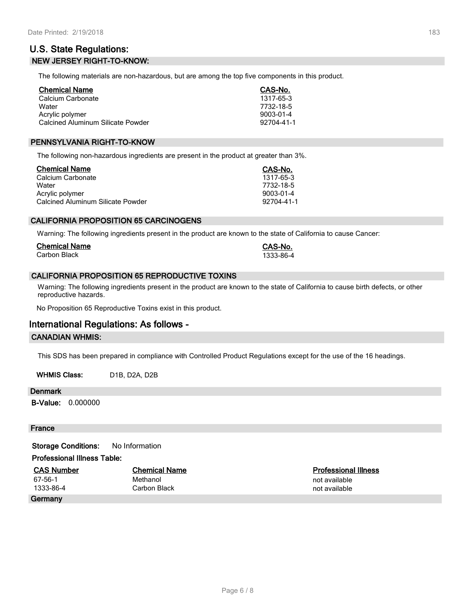# **U.S. State Regulations: NEW JERSEY RIGHT-TO-KNOW:**

The following materials are non-hazardous, but are among the top five components in this product.

| <b>Chemical Name</b>              | CAS-No.    |
|-----------------------------------|------------|
| Calcium Carbonate                 | 1317-65-3  |
| Water                             | 7732-18-5  |
| Acrylic polymer                   | 9003-01-4  |
| Calcined Aluminum Silicate Powder | 92704-41-1 |

# **PENNSYLVANIA RIGHT-TO-KNOW**

The following non-hazardous ingredients are present in the product at greater than 3%.

| <b>Chemical Name</b>                     | CAS-No.    |
|------------------------------------------|------------|
| Calcium Carbonate                        | 1317-65-3  |
| Water                                    | 7732-18-5  |
| Acrylic polymer                          | 9003-01-4  |
| <b>Calcined Aluminum Silicate Powder</b> | 92704-41-1 |

# **CALIFORNIA PROPOSITION 65 CARCINOGENS**

Warning: The following ingredients present in the product are known to the state of California to cause Cancer:

| <b>Chemical Name</b> | <b>CAS-No.</b> |
|----------------------|----------------|
| Carbon Black         | 1333-86-4      |

# **CALIFORNIA PROPOSITION 65 REPRODUCTIVE TOXINS**

Warning: The following ingredients present in the product are known to the state of California to cause birth defects, or other reproductive hazards.

No Proposition 65 Reproductive Toxins exist in this product.

# **International Regulations: As follows -**

# **CANADIAN WHMIS:**

This SDS has been prepared in compliance with Controlled Product Regulations except for the use of the 16 headings.

WHMIS Class: D1B, D2A, D2B

#### **Denmark**

**B-Value:** 0.000000

#### **France**

**Storage Conditions:** No Information

## **Professional Illness Table:**

| <b>CAS Number</b> | <b>Chemical Name</b> | <b>Professional Illness</b> |
|-------------------|----------------------|-----------------------------|
| 67-56-1           | Methanol             | not available               |
| 1333-86-4         | Carbon Black         | not available               |
| Germany           |                      |                             |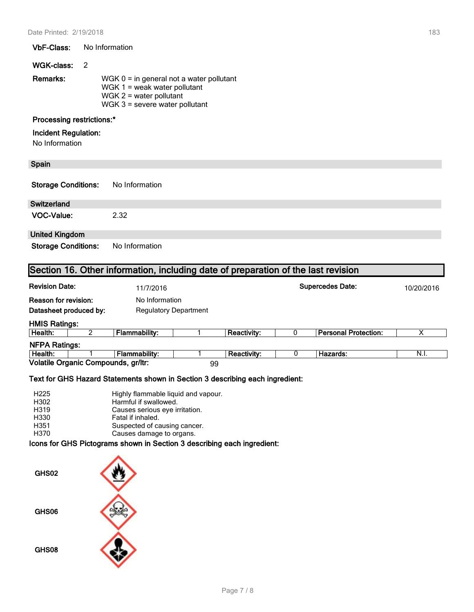### **VbF-Class:** No Information

#### **WGK-class:** 2

| Remarks: | WGK $0 =$ in general not a water pollutant |
|----------|--------------------------------------------|
|          | WGK $1 =$ weak water pollutant             |
|          | WGK $2$ = water pollutant                  |
|          | WGK $3$ = severe water pollutant           |

# **Processing restrictions:\***

## **Incident Regulation:**

No Information

# **Spain**

| <b>Storage Conditions:</b> | No Information |
|----------------------------|----------------|
|                            |                |

| <b>Switzerland</b> |      |
|--------------------|------|
| VOC-Value:         | 2.32 |

# **United Kingdom**

**Storage Conditions:** No Information

# **Section 16. Other information, including date of preparation of the last revision**

| <b>Revision Date:</b><br>11/7/2016                    |                                     |                                                |    |                    | <b>Supercedes Date:</b> |                             | 10/20/2016 |
|-------------------------------------------------------|-------------------------------------|------------------------------------------------|----|--------------------|-------------------------|-----------------------------|------------|
| <b>Reason for revision:</b><br>Datasheet produced by: |                                     | No Information<br><b>Regulatory Department</b> |    |                    |                         |                             |            |
| <b>HMIS Ratings:</b>                                  |                                     |                                                |    |                    |                         |                             |            |
| Health:                                               |                                     | Flammability:                                  |    | <b>Reactivity:</b> |                         | <b>Personal Protection:</b> | х          |
| <b>NFPA Ratings:</b>                                  |                                     |                                                |    |                    |                         |                             |            |
| Health:                                               |                                     | Flammability:                                  |    | <b>Reactivity:</b> |                         | Hazards:                    | N.I.       |
|                                                       | Volatile Organic Compounds, gr/ltr: |                                                | 99 |                    |                         |                             |            |

# **Text for GHS Hazard Statements shown in Section 3 describing each ingredient:**

| H <sub>225</sub> | Highly flammable liquid and vapour. |
|------------------|-------------------------------------|
| H302             | Harmful if swallowed.               |
| H319             | Causes serious eye irritation.      |
| H330             | Fatal if inhaled.                   |
| H351             | Suspected of causing cancer.        |
| H370             | Causes damage to organs.            |

# **Icons for GHS Pictograms shown in Section 3 describing each ingredient:**